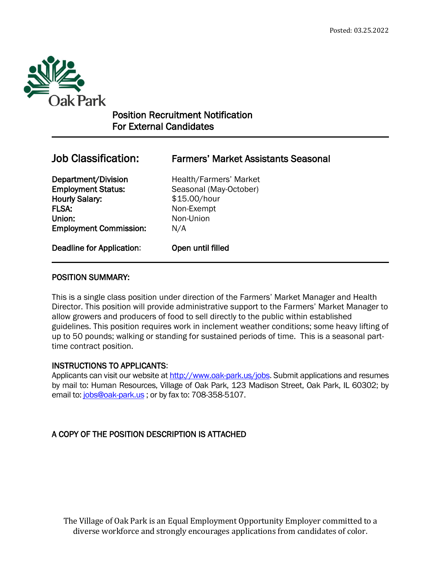

 $\overline{a}$ 

# Position Recruitment Notification For External Candidates

# Job Classification: Farmers' Market Assistants Seasonal

Employment Status: Seasonal (May-October) Hourly Salary: \$15.00/hour FLSA: Non-Exempt Union: Non-Union Employment Commission: N/A

Department/Division Health/Farmers' Market

Deadline for Application: Open until filled

# POSITION SUMMARY:

This is a single class position under direction of the Farmers' Market Manager and Health Director. This position will provide administrative support to the Farmers' Market Manager to allow growers and producers of food to sell directly to the public within established guidelines. This position requires work in inclement weather conditions; some heavy lifting of up to 50 pounds; walking or standing for sustained periods of time. This is a seasonal parttime contract position.

# INSTRUCTIONS TO APPLICANTS:

Applicants can visit our website a[t http://www.oak-park.us/j](http://www.oak-park.us/)obs. Submit applications and resumes by mail to: Human Resources, Village of Oak Park, 123 Madison Street, Oak Park, IL 60302; by email to: [jobs@oak-park.us](mailto:jobs@oak-park.us) ; or by fax to: 708-358-5107.

# A COPY OF THE POSITION DESCRIPTION IS ATTACHED

The Village of Oak Park is an Equal Employment Opportunity Employer committed to a diverse workforce and strongly encourages applications from candidates of color.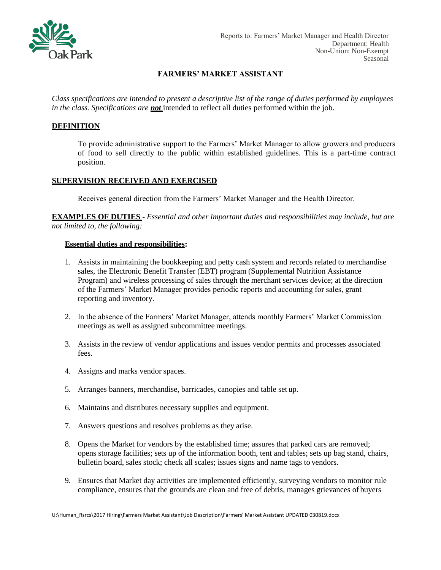

## **FARMERS' MARKET ASSISTANT**

*Class specifications are intended to present a descriptive list of the range of duties performed by employees in the class. Specifications are not* intended to reflect all duties performed within the job.

#### **DEFINITION**

To provide administrative support to the Farmers' Market Manager to allow growers and producers of food to sell directly to the public within established guidelines. This is a part-time contract position.

#### **SUPERVISION RECEIVED AND EXERCISED**

Receives general direction from the Farmers' Market Manager and the Health Director.

**EXAMPLES OF DUTIES** - *Essential and other important duties and responsibilities may include, but are not limited to, the following:*

#### **Essential duties and responsibilities:**

- 1. Assists in maintaining the bookkeeping and petty cash system and records related to merchandise sales, the Electronic Benefit Transfer (EBT) program (Supplemental Nutrition Assistance Program) and wireless processing of sales through the merchant services device; at the direction of the Farmers' Market Manager provides periodic reports and accounting for sales, grant reporting and inventory.
- 2. In the absence of the Farmers' Market Manager, attends monthly Farmers' Market Commission meetings as well as assigned subcommittee meetings.
- 3. Assists in the review of vendor applications and issues vendor permits and processes associated fees.
- 4. Assigns and marks vendor spaces.
- 5. Arranges banners, merchandise, barricades, canopies and table set up.
- 6. Maintains and distributes necessary supplies and equipment.
- 7. Answers questions and resolves problems as they arise.
- 8. Opens the Market for vendors by the established time; assures that parked cars are removed; opens storage facilities; sets up of the information booth, tent and tables; sets up bag stand, chairs, bulletin board, sales stock; check all scales; issues signs and name tags to vendors.
- 9. Ensures that Market day activities are implemented efficiently, surveying vendors to monitor rule compliance, ensures that the grounds are clean and free of debris, manages grievances of buyers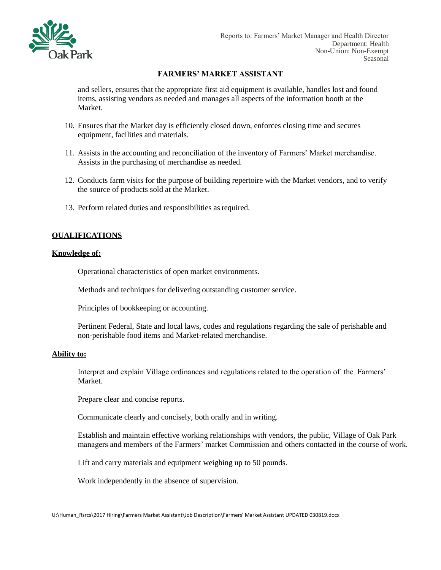

#### **FARMERS' MARKET ASSISTANT**

and sellers, ensures that the appropriate first aid equipment is available, handles lost and found items, assisting vendors as needed and manages all aspects of the information booth at the Market.

- 10. Ensures that the Market day is efficiently closed down, enforces closing time and secures equipment, facilities and materials.
- 11. Assists in the accounting and reconciliation of the inventory of Farmers' Market merchandise. Assists in the purchasing of merchandise as needed.
- 12. Conducts farm visits for the purpose of building repertoire with the Market vendors, and to verify the source of products sold at the Market.
- 13. Perform related duties and responsibilities as required.

#### **QUALIFICATIONS**

#### **Knowledge of:**

Operational characteristics of open market environments.

Methods and techniques for delivering outstanding customer service.

Principles of bookkeeping or accounting.

Pertinent Federal, State and local laws, codes and regulations regarding the sale of perishable and non-perishable food items and Market-related merchandise.

#### **Ability to:**

Interpret and explain Village ordinances and regulations related to the operation of the Farmers' Market.

Prepare clear and concise reports.

Communicate clearly and concisely, both orally and in writing.

Establish and maintain effective working relationships with vendors, the public, Village of Oak Park managers and members of the Farmers' market Commission and others contacted in the course of work.

Lift and carry materials and equipment weighing up to 50 pounds.

Work independently in the absence of supervision.